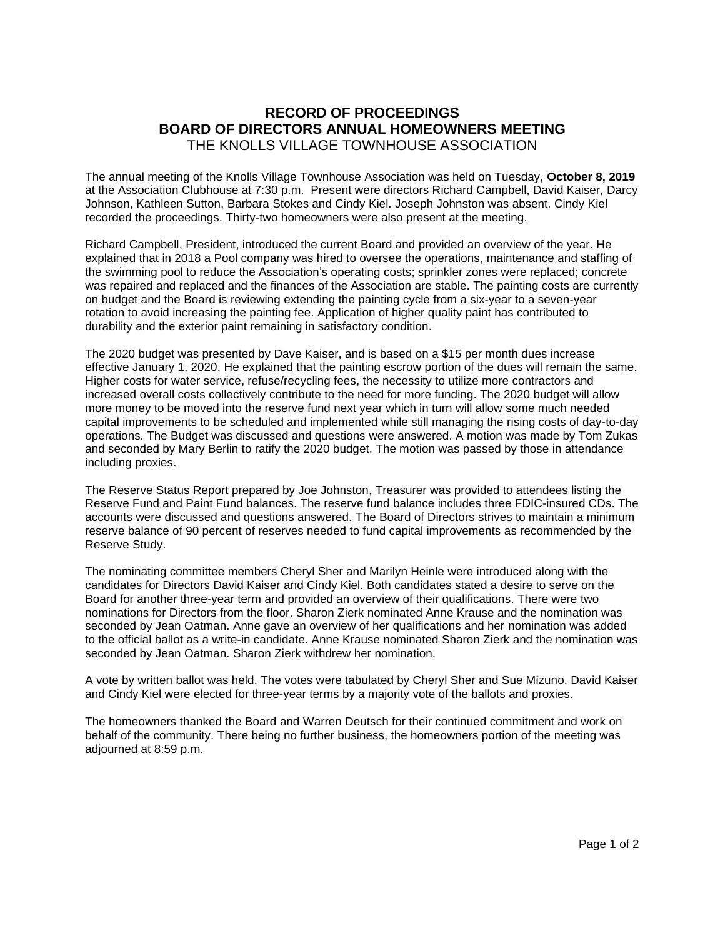## **RECORD OF PROCEEDINGS BOARD OF DIRECTORS ANNUAL HOMEOWNERS MEETING** THE KNOLLS VILLAGE TOWNHOUSE ASSOCIATION

The annual meeting of the Knolls Village Townhouse Association was held on Tuesday, **October 8, 2019** at the Association Clubhouse at 7:30 p.m. Present were directors Richard Campbell, David Kaiser, Darcy Johnson, Kathleen Sutton, Barbara Stokes and Cindy Kiel. Joseph Johnston was absent. Cindy Kiel recorded the proceedings. Thirty-two homeowners were also present at the meeting.

Richard Campbell, President, introduced the current Board and provided an overview of the year. He explained that in 2018 a Pool company was hired to oversee the operations, maintenance and staffing of the swimming pool to reduce the Association's operating costs; sprinkler zones were replaced; concrete was repaired and replaced and the finances of the Association are stable. The painting costs are currently on budget and the Board is reviewing extending the painting cycle from a six-year to a seven-year rotation to avoid increasing the painting fee. Application of higher quality paint has contributed to durability and the exterior paint remaining in satisfactory condition.

The 2020 budget was presented by Dave Kaiser, and is based on a \$15 per month dues increase effective January 1, 2020. He explained that the painting escrow portion of the dues will remain the same. Higher costs for water service, refuse/recycling fees, the necessity to utilize more contractors and increased overall costs collectively contribute to the need for more funding. The 2020 budget will allow more money to be moved into the reserve fund next year which in turn will allow some much needed capital improvements to be scheduled and implemented while still managing the rising costs of day-to-day operations. The Budget was discussed and questions were answered. A motion was made by Tom Zukas and seconded by Mary Berlin to ratify the 2020 budget. The motion was passed by those in attendance including proxies.

The Reserve Status Report prepared by Joe Johnston, Treasurer was provided to attendees listing the Reserve Fund and Paint Fund balances. The reserve fund balance includes three FDIC-insured CDs. The accounts were discussed and questions answered. The Board of Directors strives to maintain a minimum reserve balance of 90 percent of reserves needed to fund capital improvements as recommended by the Reserve Study.

The nominating committee members Cheryl Sher and Marilyn Heinle were introduced along with the candidates for Directors David Kaiser and Cindy Kiel. Both candidates stated a desire to serve on the Board for another three-year term and provided an overview of their qualifications. There were two nominations for Directors from the floor. Sharon Zierk nominated Anne Krause and the nomination was seconded by Jean Oatman. Anne gave an overview of her qualifications and her nomination was added to the official ballot as a write-in candidate. Anne Krause nominated Sharon Zierk and the nomination was seconded by Jean Oatman. Sharon Zierk withdrew her nomination.

A vote by written ballot was held. The votes were tabulated by Cheryl Sher and Sue Mizuno. David Kaiser and Cindy Kiel were elected for three-year terms by a majority vote of the ballots and proxies.

The homeowners thanked the Board and Warren Deutsch for their continued commitment and work on behalf of the community. There being no further business, the homeowners portion of the meeting was adjourned at 8:59 p.m.